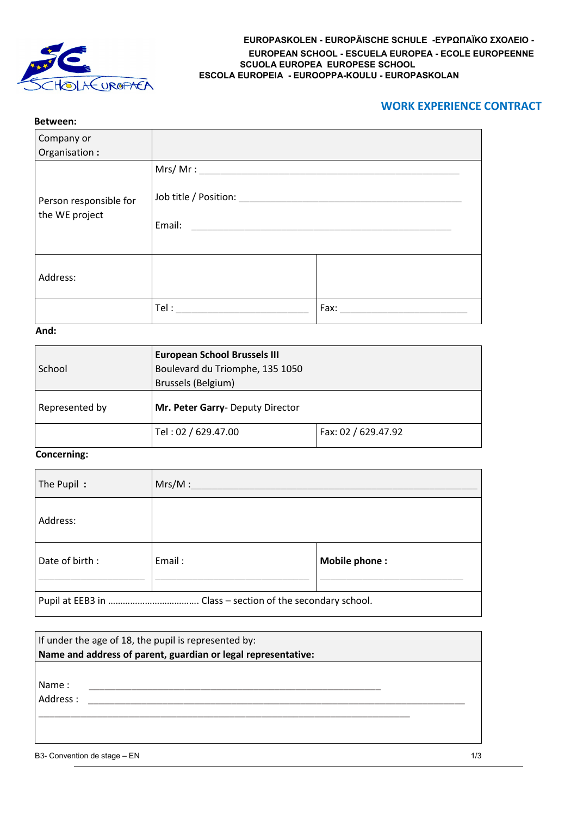

## **EUROPASKOLEN - EUROPÄISCHE SCHULE -ΕΥΡΩΠΑΪΚΟ ΣΧΟΛΕΙΟ - EUROPEAN SCHOOL - ESCUELA EUROPEA - ECOLE EUROPEENNE SCUOLA EUROPEA EUROPESE SCHOOL ESCOLA EUROPEIA - EUROOPPA-KOULU - EUROPASKOLAN**

# **WORK EXPERIENCE CONTRACT**

| Between:                                 |                                            |      |
|------------------------------------------|--------------------------------------------|------|
| Company or<br>Organisation:              |                                            |      |
| Person responsible for<br>the WE project | Mrs/Mr:<br>Job title / Position:<br>Email: |      |
| Address:                                 |                                            |      |
|                                          | Tel:                                       | Fax: |

## **And:**

| School         | <b>European School Brussels III</b><br>Boulevard du Triomphe, 135 1050<br>Brussels (Belgium) |                     |
|----------------|----------------------------------------------------------------------------------------------|---------------------|
| Represented by | Mr. Peter Garry- Deputy Director                                                             |                     |
|                | Tel: 02 / 629.47.00                                                                          | Fax: 02 / 629.47.92 |

## **Concerning:**

| The Pupil:       | Mrs/M: |               |
|------------------|--------|---------------|
| Address:         |        |               |
| Date of birth:   | Email: | Mobile phone: |
| Pupil at EEB3 in |        |               |

| If under the age of 18, the pupil is represented by:<br>Name and address of parent, guardian or legal representative: |     |
|-----------------------------------------------------------------------------------------------------------------------|-----|
| Name:<br>Address:                                                                                                     |     |
| B3- Convention de stage - EN                                                                                          | 1/3 |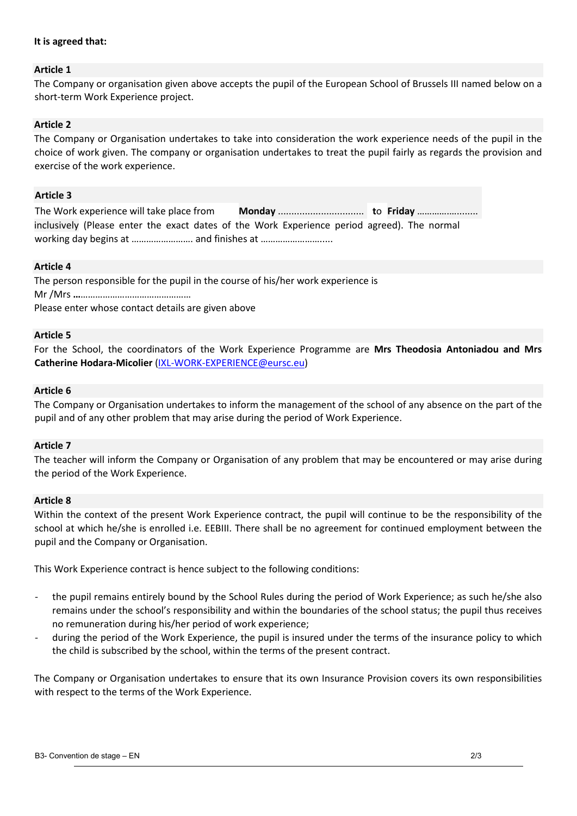## **It is agreed that:**

## **Article 1**

The Company or organisation given above accepts the pupil of the European School of Brussels III named below on a short-term Work Experience project.

## **Article 2**

The Company or Organisation undertakes to take into consideration the work experience needs of the pupil in the choice of work given. The company or organisation undertakes to treat the pupil fairly as regards the provision and exercise of the work experience.

### **Article 3**

| The Work experience will take place from |                                                                                             |  |
|------------------------------------------|---------------------------------------------------------------------------------------------|--|
|                                          | inclusively (Please enter the exact dates of the Work Experience period agreed). The normal |  |
|                                          |                                                                                             |  |

#### **Article 4**

The person responsible for the pupil in the course of his/her work experience is Mr /Mrs **…**……………………………………… Please enter whose contact details are given above

#### **Article 5**

For the School, the coordinators of the Work Experience Programme are **Mrs Theodosia Antoniadou and Mrs Catherine Hodara-Micolier** (IXL-WORK-EXPERIENCE@eursc.eu)

### **Article 6**

The Company or Organisation undertakes to inform the management of the school of any absence on the part of the pupil and of any other problem that may arise during the period of Work Experience.

#### **Article 7**

The teacher will inform the Company or Organisation of any problem that may be encountered or may arise during the period of the Work Experience.

#### **Article 8**

Within the context of the present Work Experience contract, the pupil will continue to be the responsibility of the school at which he/she is enrolled i.e. EEBIII. There shall be no agreement for continued employment between the pupil and the Company or Organisation.

This Work Experience contract is hence subject to the following conditions:

- the pupil remains entirely bound by the School Rules during the period of Work Experience; as such he/she also remains under the school's responsibility and within the boundaries of the school status; the pupil thus receives no remuneration during his/her period of work experience;
- during the period of the Work Experience, the pupil is insured under the terms of the insurance policy to which the child is subscribed by the school, within the terms of the present contract.

The Company or Organisation undertakes to ensure that its own Insurance Provision covers its own responsibilities with respect to the terms of the Work Experience.